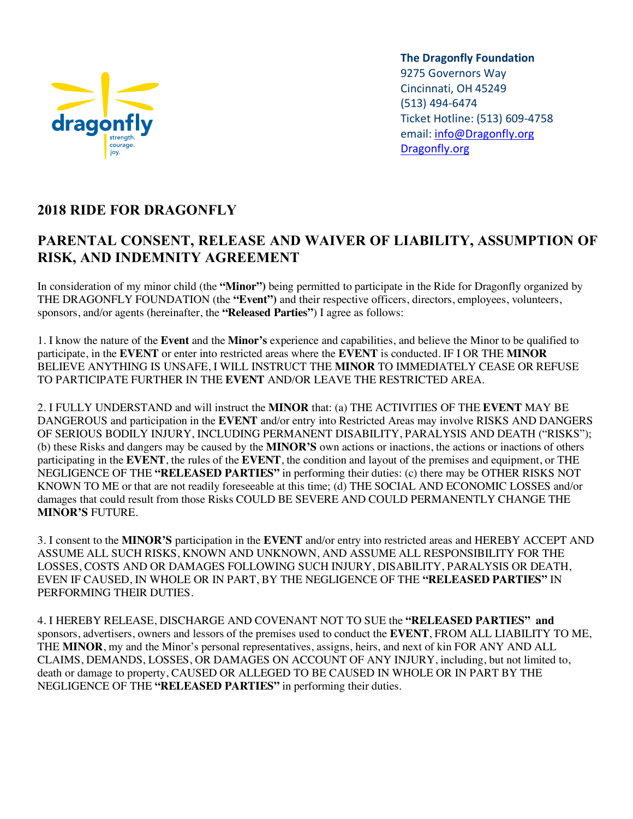

**The Dragonfly Foundation** 9275 Governors Way Cincinnati, OH 45249 (513) 494-6474 Ticket Hotline: (513) 609-4758 email: info@Dragonfly.org Dragonfly.org

## **2018 RIDE FOR DRAGONFLY**

## **PARENTAL CONSENT, RELEASE AND WAIVER OF LIABILITY, ASSUMPTION OF RISK, AND INDEMNITY AGREEMENT**

In consideration of my minor child (the **"Minor")** being permitted to participate in the Ride for Dragonfly organized by THE DRAGONFLY FOUNDATION (the **"Event")** and their respective officers, directors, employees, volunteers, sponsors, and/or agents (hereinafter, the **"Released Parties"**) I agree as follows:

1. I know the nature of the **Event** and the **Minor's** experience and capabilities, and believe the Minor to be qualified to participate, in the **EVENT** or enter into restricted areas where the **EVENT** is conducted. IF I OR THE **MINOR**  BELIEVE ANYTHING IS UNSAFE, I WILL INSTRUCT THE **MINOR** TO IMMEDIATELY CEASE OR REFUSE TO PARTICIPATE FURTHER IN THE **EVENT** AND/OR LEAVE THE RESTRICTED AREA.

2. I FULLY UNDERSTAND and will instruct the **MINOR** that: (a) THE ACTIVITIES OF THE **EVENT** MAY BE DANGEROUS and participation in the **EVENT** and/or entry into Restricted Areas may involve RISKS AND DANGERS OF SERIOUS BODILY INJURY, INCLUDING PERMANENT DISABILITY, PARALYSIS AND DEATH ("RISKS"); (b) these Risks and dangers may be caused by the **MINOR'S** own actions or inactions, the actions or inactions of others participating in the **EVENT**, the rules of the **EVENT**, the condition and layout of the premises and equipment, or THE NEGLIGENCE OF THE **"RELEASED PARTIES"** in performing their duties: (c) there may be OTHER RISKS NOT KNOWN TO ME or that are not readily foreseeable at this time; (d) THE SOCIAL AND ECONOMIC LOSSES and/or damages that could result from those Risks COULD BE SEVERE AND COULD PERMANENTLY CHANGE THE **MINOR'S** FUTURE.

3. I consent to the **MINOR'S** participation in the **EVENT** and/or entry into restricted areas and HEREBY ACCEPT AND ASSUME ALL SUCH RISKS, KNOWN AND UNKNOWN, AND ASSUME ALL RESPONSIBILITY FOR THE LOSSES, COSTS AND OR DAMAGES FOLLOWING SUCH INJURY, DISABILITY, PARALYSIS OR DEATH, EVEN IF CAUSED, IN WHOLE OR IN PART, BY THE NEGLIGENCE OF THE **"RELEASED PARTIES"** IN PERFORMING THEIR DUTIES.

4. I HEREBY RELEASE, DISCHARGE AND COVENANT NOT TO SUE the **"RELEASED PARTIES" and**  sponsors, advertisers, owners and lessors of the premises used to conduct the **EVENT**, FROM ALL LIABILITY TO ME, THE **MINOR**, my and the Minor's personal representatives, assigns, heirs, and next of kin FOR ANY AND ALL CLAIMS, DEMANDS, LOSSES, OR DAMAGES ON ACCOUNT OF ANY INJURY, including, but not limited to, death or damage to property, CAUSED OR ALLEGED TO BE CAUSED IN WHOLE OR IN PART BY THE NEGLIGENCE OF THE **"RELEASED PARTIES"** in performing their duties.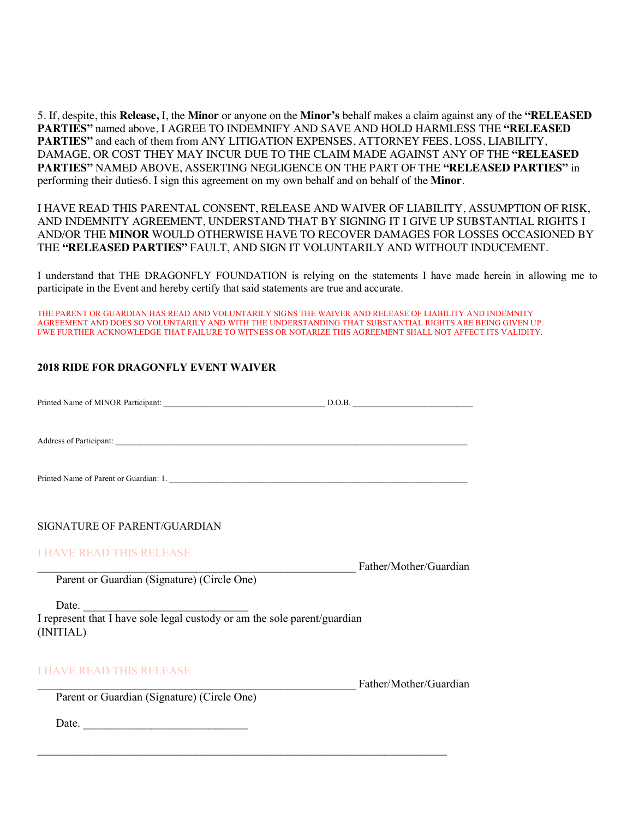5. If, despite, this **Release,** I, the **Minor** or anyone on the **Minor's** behalf makes a claim against any of the **"RELEASED PARTIES"** named above, I AGREE TO INDEMNIFY AND SAVE AND HOLD HARMLESS THE **"RELEASED PARTIES"** and each of them from ANY LITIGATION EXPENSES, ATTORNEY FEES, LOSS, LIABILITY, DAMAGE, OR COST THEY MAY INCUR DUE TO THE CLAIM MADE AGAINST ANY OF THE **"RELEASED PARTIES"** NAMED ABOVE, ASSERTING NEGLIGENCE ON THE PART OF THE **"RELEASED PARTIES"** in performing their duties6. I sign this agreement on my own behalf and on behalf of the **Minor**.

I HAVE READ THIS PARENTAL CONSENT, RELEASE AND WAIVER OF LIABILITY, ASSUMPTION OF RISK, AND INDEMNITY AGREEMENT, UNDERSTAND THAT BY SIGNING IT I GIVE UP SUBSTANTIAL RIGHTS I AND/OR THE **MINOR** WOULD OTHERWISE HAVE TO RECOVER DAMAGES FOR LOSSES OCCASIONED BY THE **"RELEASED PARTIES"** FAULT, AND SIGN IT VOLUNTARILY AND WITHOUT INDUCEMENT.

I understand that THE DRAGONFLY FOUNDATION is relying on the statements I have made herein in allowing me to participate in the Event and hereby certify that said statements are true and accurate.

THE PARENT OR GUARDIAN HAS READ AND VOLUNTARILY SIGNS THE WAIVER AND RELEASE OF LIABILITY AND INDEMNITY AGREEMENT AND DOES SO VOLUNTARILY AND WITH THE UNDERSTANDING THAT SUBSTANTIAL RIGHTS ARE BEING GIVEN UP. I/WE FURTHER ACKNOWLEDGE THAT FAILURE TO WITNESS OR NOTARIZE THIS AGREEMENT SHALL NOT AFFECT ITS VALIDITY.

## **2018 RIDE FOR DRAGONFLY EVENT WAIVER**

| SIGNATURE OF PARENT/GUARDIAN                                                    |                        |
|---------------------------------------------------------------------------------|------------------------|
| <b>I HAVE READ THIS RELEASE</b>                                                 |                        |
| Parent or Guardian (Signature) (Circle One)                                     | Father/Mother/Guardian |
|                                                                                 |                        |
| Date. I represent that I have sole legal custody or am the sole parent/guardian |                        |
|                                                                                 |                        |
| (INITIAL)                                                                       |                        |
| <b>I HAVE READ THIS RELEASE</b>                                                 |                        |
|                                                                                 | Father/Mother/Guardian |
| Parent or Guardian (Signature) (Circle One)                                     |                        |
| Date.                                                                           |                        |
|                                                                                 |                        |
|                                                                                 |                        |